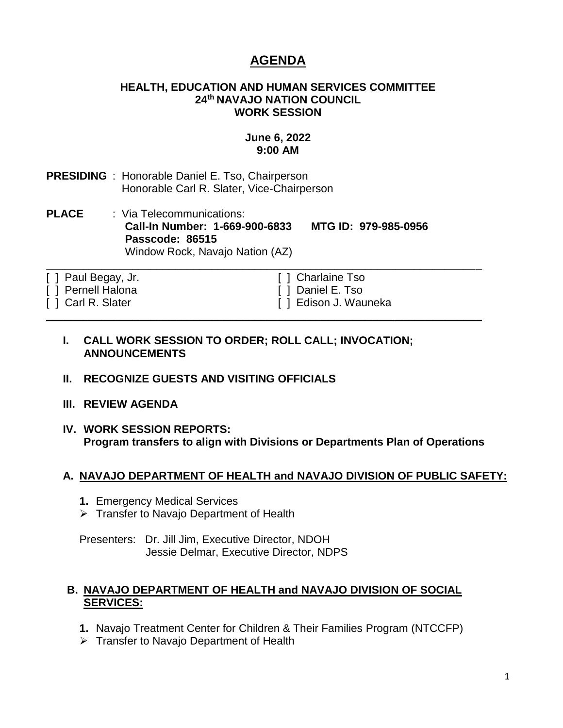# **AGENDA**

#### **HEALTH, EDUCATION AND HUMAN SERVICES COMMITTEE 24th NAVAJO NATION COUNCIL WORK SESSION**

### **June 6, 2022 9:00 AM**

- **PRESIDING** : Honorable Daniel E. Tso, Chairperson Honorable Carl R. Slater, Vice-Chairperson
- **PLACE** : Via Telecommunications: **Call-In Number: 1-669-900-6833 MTG ID: 979-985-0956 Passcode: 86515** Window Rock, Navajo Nation (AZ)

**\_\_\_\_\_\_\_\_\_\_\_\_\_\_\_\_\_\_\_\_\_\_\_\_\_\_\_\_\_\_\_\_\_\_\_\_\_\_\_\_\_\_\_\_\_\_\_\_\_\_\_\_\_\_\_\_\_\_\_\_\_\_\_\_\_\_\_\_\_\_\_**

**\_\_\_\_\_\_\_\_\_\_\_\_\_\_\_\_\_\_\_\_\_\_\_\_\_\_\_\_\_\_\_\_\_\_\_\_\_\_\_\_\_\_\_\_\_\_\_\_\_\_\_\_\_\_\_\_\_\_\_\_\_\_\_\_\_\_\_\_\_\_\_**

- [ ] Paul Begay, Jr. [ ] Charlaine Tso
- 
- 

[ ] Pernell Halona [ ] Daniel E. Tso [ ] Carl R. Slater [ ] Edison J. Wauneka

#### **I. CALL WORK SESSION TO ORDER; ROLL CALL; INVOCATION; ANNOUNCEMENTS**

- **II. RECOGNIZE GUESTS AND VISITING OFFICIALS**
- **III. REVIEW AGENDA**
- **IV. WORK SESSION REPORTS: Program transfers to align with Divisions or Departments Plan of Operations**

#### **A. NAVAJO DEPARTMENT OF HEALTH and NAVAJO DIVISION OF PUBLIC SAFETY:**

- **1.** Emergency Medical Services
- ➢ Transfer to Navajo Department of Health

Presenters: Dr. Jill Jim, Executive Director, NDOH Jessie Delmar, Executive Director, NDPS

#### **B. NAVAJO DEPARTMENT OF HEALTH and NAVAJO DIVISION OF SOCIAL SERVICES:**

- **1.** Navajo Treatment Center for Children & Their Families Program (NTCCFP)
- ➢ Transfer to Navajo Department of Health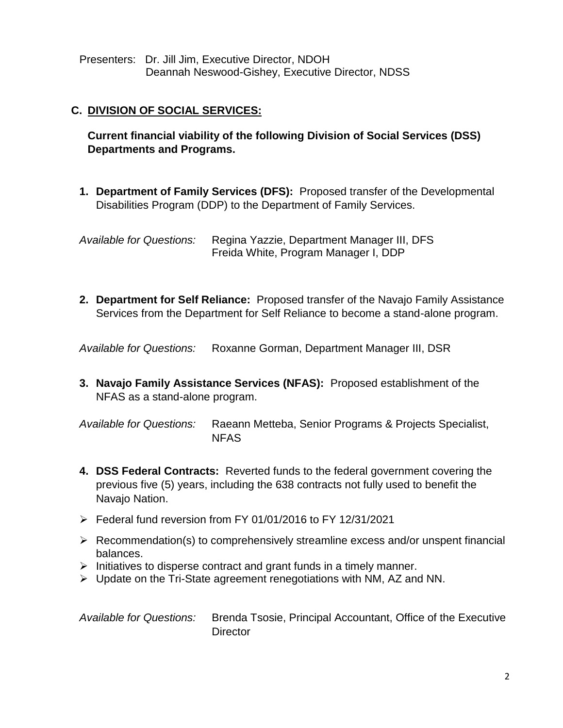Presenters: Dr. Jill Jim, Executive Director, NDOH Deannah Neswood-Gishey, Executive Director, NDSS

## **C. DIVISION OF SOCIAL SERVICES:**

**Current financial viability of the following Division of Social Services (DSS) Departments and Programs.**

**1. Department of Family Services (DFS):** Proposed transfer of the Developmental Disabilities Program (DDP) to the Department of Family Services.

*Available for Questions:* Regina Yazzie, Department Manager III, DFS Freida White, Program Manager I, DDP

**2. Department for Self Reliance:** Proposed transfer of the Navajo Family Assistance Services from the Department for Self Reliance to become a stand-alone program.

*Available for Questions:* Roxanne Gorman, Department Manager III, DSR

**3. Navajo Family Assistance Services (NFAS):** Proposed establishment of the NFAS as a stand-alone program.

*Available for Questions:* Raeann Metteba, Senior Programs & Projects Specialist, NFAS

- **4. DSS Federal Contracts:** Reverted funds to the federal government covering the previous five (5) years, including the 638 contracts not fully used to benefit the Navajo Nation.
- $\triangleright$  Federal fund reversion from FY 01/01/2016 to FY 12/31/2021
- ➢ Recommendation(s) to comprehensively streamline excess and/or unspent financial balances.
- ➢ Initiatives to disperse contract and grant funds in a timely manner.
- $\triangleright$  Update on the Tri-State agreement renegotiations with NM, AZ and NN.
- *Available for Questions:* Brenda Tsosie, Principal Accountant, Office of the Executive **Director**